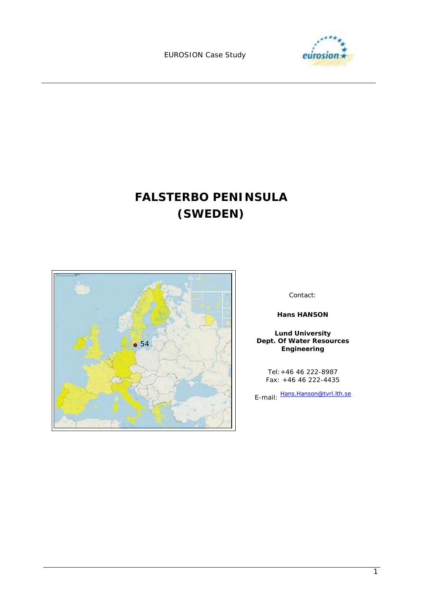EUROSION Case Study



# **FALSTERBO PENINSULA (SWEDEN)**



Contact:

**Hans HANSON** 

**Lund University Dept. Of Water Resources Engineering** 

Tel:+46 46 222-8987 Fax: +46 46 222-4435

E-mail: Hans.Hanson@tvrl.lth.se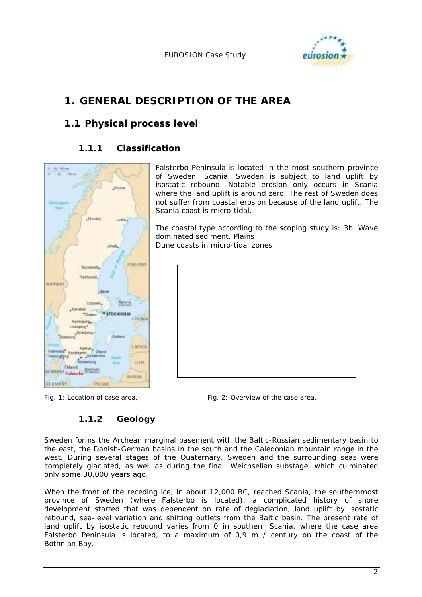

## **1. GENERAL DESCRIPTION OF THE AREA**

## **1.1 Physical process level**

## **1.1.1 Classification**



*Fig. 1: Location of case area. Fig. 2: Overview of the case area.* 

## **1.1.2 Geology**

Sweden forms the Archean marginal basement with the Baltic-Russian sedimentary basin to the east, the Danish-German basins in the south and the Caledonian mountain range in the west. During several stages of the Quaternary, Sweden and the surrounding seas were completely glaciated, as well as during the final, Weichselian substage, which culminated only some 30,000 years ago.

When the front of the receding ice, in about 12,000 BC, reached Scania, the southernmost province of Sweden (where Falsterbo is located), a complicated history of shore development started that was dependent on rate of deglaciation, land uplift by isostatic rebound, sea-level variation and shifting outlets from the Baltic basin. The present rate of land uplift by isostatic rebound varies from 0 in southern Scania, where the case area Falsterbo Peninsula is located, to a maximum of  $0.9$  m / century on the coast of the Bothnian Bay.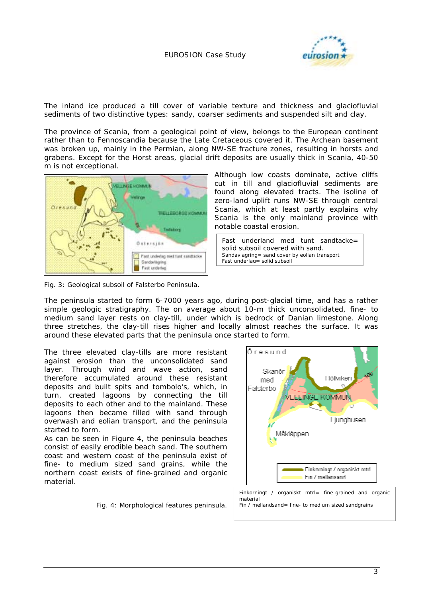

The inland ice produced a till cover of variable texture and thickness and glaciofluvial sediments of two distinctive types: sandy, coarser sediments and suspended silt and clay.

The province of Scania, from a geological point of view, belongs to the European continent rather than to Fennoscandia because the Late Cretaceous covered it. The Archean basement was broken up, mainly in the Permian, along NW-SE fracture zones, resulting in horsts and grabens. Except for the Horst areas, glacial drift deposits are usually thick in Scania, 40-50 m is not exceptional.



*Fig. 3: Geological subsoil of Falsterbo Peninsula.* 

Although low coasts dominate, active cliffs cut in till and glaciofluvial sediments are found along elevated tracts. The isoline of zero-land uplift runs NW-SE through central Scania, which at least partly explains why Scania is the only mainland province with notable coastal erosion.

Fast underland med tunt sandtacke= solid subsoil covered with sand. *Sandavlagring= sand cover by eolian transport Fast underlag= solid subsoil*

The peninsula started to form 6-7000 years ago, during post-glacial time, and has a rather simple geologic stratigraphy. The on average about 10-m thick unconsolidated, fine- to medium sand layer rests on clay-till, under which is bedrock of Danian limestone. Along three stretches, the clay-till rises higher and locally almost reaches the surface. It was around these elevated parts that the peninsula once started to form.

The three elevated clay-tills are more resistant against erosion than the unconsolidated sand layer. Through wind and wave action, sand therefore accumulated around these resistant deposits and built spits and tombolo's, which, in turn, created lagoons by connecting the till deposits to each other and to the mainland. These lagoons then became filled with sand through overwash and eolian transport, and the peninsula started to form.

As can be seen in Figure 4, the peninsula beaches consist of easily erodible beach sand. The southern coast and western coast of the peninsula exist of fine- to medium sized sand grains, while the northern coast exists of fine-grained and organic material.



*Fig. 4: Morphological features peninsula.* 

*Finkorningt / organiskt mtrl= fine-grained and organic material Fin / mellandsand= fine- to medium sized sandgrains*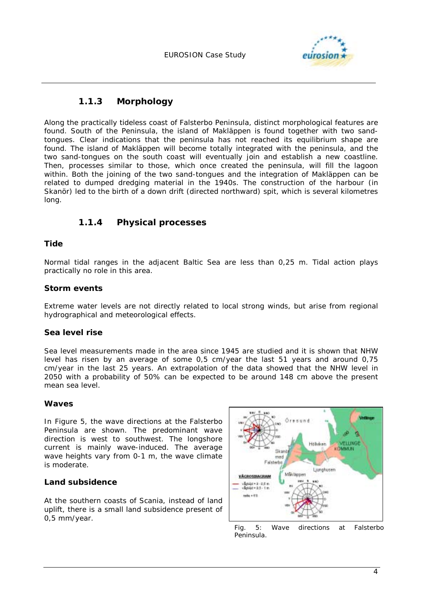

### **1.1.3 Morphology**

Along the practically tideless coast of Falsterbo Peninsula, distinct morphological features are found. South of the Peninsula, the island of Makläppen is found together with two sandtongues. Clear indications that the peninsula has not reached its equilibrium shape are found. The island of Makläppen will become totally integrated with the peninsula, and the two sand-tongues on the south coast will eventually join and establish a new coastline. Then, processes similar to those, which once created the peninsula, will fill the lagoon within. Both the joining of the two sand-tongues and the integration of Makläppen can be related to dumped dredging material in the 1940s. The construction of the harbour (in Skanör) led to the birth of a down drift (directed northward) spit, which is several kilometres long.

### **1.1.4 Physical processes**

### **Tide**

Normal tidal ranges in the adjacent Baltic Sea are less than 0,25 m. Tidal action plays practically no role in this area.

### **Storm events**

Extreme water levels are not directly related to local strong winds, but arise from regional hydrographical and meteorological effects.

### **Sea level rise**

Sea level measurements made in the area since 1945 are studied and it is shown that NHW level has risen by an average of some 0,5 cm/year the last 51 years and around 0,75 cm/year in the last 25 years. An extrapolation of the data showed that the NHW level in 2050 with a probability of 50% can be expected to be around 148 cm above the present mean sea level.

#### **Waves**

In Figure 5, the wave directions at the Falsterbo Peninsula are shown. The predominant wave direction is west to southwest. The longshore current is mainly wave-induced. The average wave heights vary from 0-1 m, the wave climate is moderate.

#### **Land subsidence**

At the southern coasts of Scania, instead of land uplift, there is a small land subsidence present of 0,5 mm/year.



*Fig. 5: Wave directions at Falsterbo Peninsula.*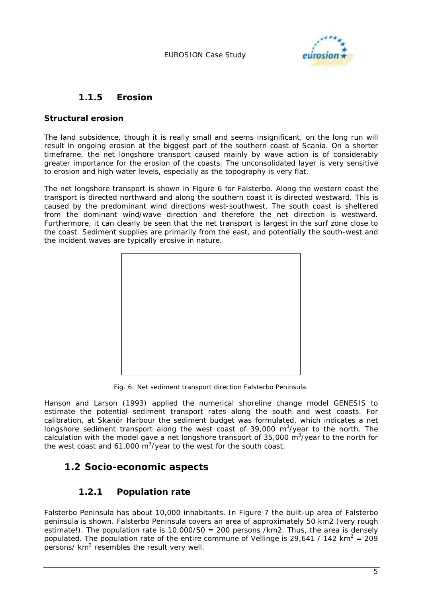

### **1.1.5 Erosion**

### **Structural erosion**

The land subsidence, though it is really small and seems insignificant, on the long run will result in ongoing erosion at the biggest part of the southern coast of Scania. On a shorter timeframe, the net longshore transport caused mainly by wave action is of considerably greater importance for the erosion of the coasts. The unconsolidated layer is very sensitive to erosion and high water levels, especially as the topography is very flat.

The net longshore transport is shown in Figure 6 for Falsterbo. Along the western coast the transport is directed northward and along the southern coast it is directed westward. This is caused by the predominant wind directions west-southwest. The south coast is sheltered from the dominant wind/wave direction and therefore the net direction is westward. Furthermore, it can clearly be seen that the net transport is largest in the surf zone close to the coast. Sediment supplies are primarily from the east, and potentially the south-west and the incident waves are typically erosive in nature.



*Fig. 6: Net sediment transport direction Falsterbo Peninsula.* 

Hanson and Larson (1993) applied the numerical shoreline change model GENESIS to estimate the potential sediment transport rates along the south and west coasts. For calibration, at Skanör Harbour the sediment budget was formulated, which indicates a net longshore sediment transport along the west coast of 39,000  $m^3$ /year to the north. The calculation with the model gave a net longshore transport of 35,000  $\text{m}^3/\text{year}$  to the north for the west coast and 61,000  $\mathrm{m}^3$ /year to the west for the south coast.

## **1.2 Socio-economic aspects**

## **1.2.1 Population rate**

Falsterbo Peninsula has about 10,000 inhabitants. In Figure 7 the built-up area of Falsterbo peninsula is shown. Falsterbo Peninsula covers an area of approximately 50 km2 (very rough estimate!). The population rate is 10,000/50 = 200 persons /km2. Thus, the area is densely populated. The population rate of the entire commune of Vellinge is 29,641 / 142 km<sup>2</sup> = 209  $p$ ersons/ $km<sup>2</sup>$  resembles the result very well.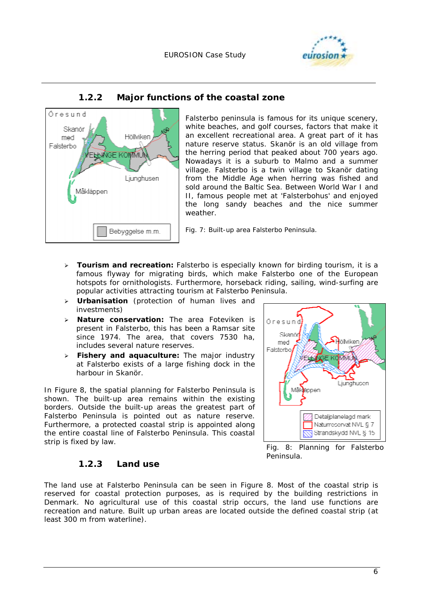



## **1.2.2 Major functions of the coastal zone**

Falsterbo peninsula is famous for its unique scenery, white beaches, and golf courses, factors that make it an excellent recreational area. A great part of it has nature reserve status. Skanör is an old village from the herring period that peaked about 700 years ago. Nowadays it is a suburb to Malmo and a summer village. Falsterbo is a twin village to Skanör dating from the Middle Age when herring was fished and sold around the Baltic Sea. Between World War I and II, famous people met at 'Falsterbohus' and enjoyed the long sandy beaches and the nice summer weather.

*Fig. 7: Built-up area Falsterbo Peninsula.*

- $\blacktriangleright$  **Tourism and recreation:** Falsterbo is especially known for birding tourism, it is a famous flyway for migrating birds, which make Falsterbo one of the European hotspots for ornithologists. Furthermore, horseback riding, sailing, wind-surfing are popular activities attracting tourism at Falsterbo Peninsula.
- **Urbanisation** (protection of human lives and investments)
- $\blacktriangleright$  **Nature conservation:** The area Foteviken is present in Falsterbo, this has been a Ramsar site since 1974. The area, that covers 7530 ha, includes several nature reserves.
- **Fishery and aquaculture:** The major industry at Falsterbo exists of a large fishing dock in the harbour in Skanör.

In Figure 8, the spatial planning for Falsterbo Peninsula is shown. The built-up area remains within the existing borders. Outside the built-up areas the greatest part of Falsterbo Peninsula is pointed out as nature reserve. Furthermore, a protected coastal strip is appointed along the entire coastal line of Falsterbo Peninsula. This coastal strip is fixed by law.

### **1.2.3 Land use**



*Fig. 8: Planning for Falsterbo Peninsula.* 

The land use at Falsterbo Peninsula can be seen in Figure 8. Most of the coastal strip is reserved for coastal protection purposes, as is required by the building restrictions in Denmark. No agricultural use of this coastal strip occurs, the land use functions are recreation and nature. Built up urban areas are located outside the defined coastal strip (at least 300 m from waterline).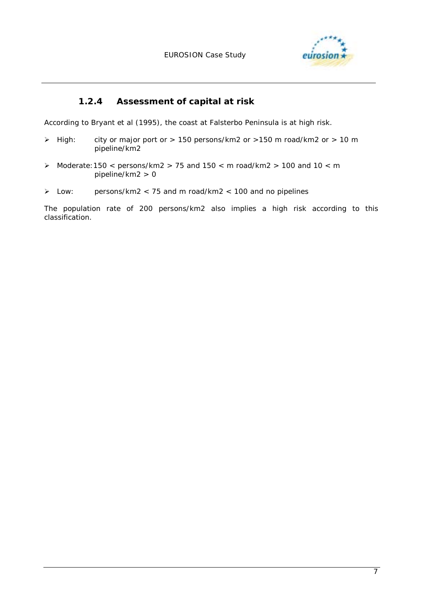

## **1.2.4 Assessment of capital at risk**

According to Bryant et al (1995), the coast at Falsterbo Peninsula is at high risk.

- $\triangleright$  High: city or major port or  $> 150$  persons/km2 or  $> 150$  m road/km2 or  $> 10$  m pipeline/km2
- $\triangleright$  Moderate: 150 < persons/km2 > 75 and 150 < m road/km2 > 100 and 10 < m pipeline/km2 > 0
- $\triangleright$  Low: persons/km2  $<$  75 and m road/km2  $<$  100 and no pipelines

The population rate of 200 persons/km2 also implies a high risk according to this classification.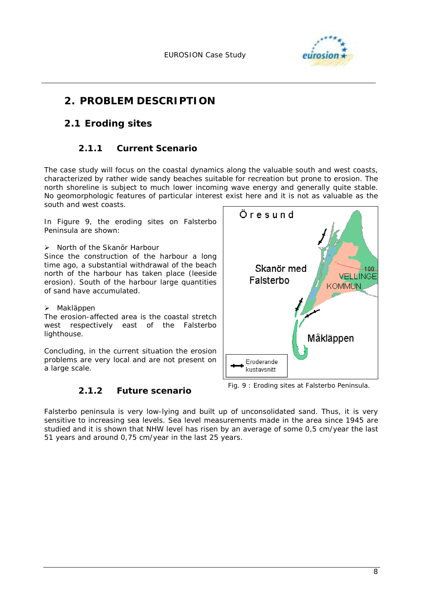

## **2. PROBLEM DESCRIPTION**

## **2.1 Eroding sites**

## **2.1.1 Current Scenario**

The case study will focus on the coastal dynamics along the valuable south and west coasts, characterized by rather wide sandy beaches suitable for recreation but prone to erosion. The north shoreline is subject to much lower incoming wave energy and generally quite stable. No geomorphologic features of particular interest exist here and it is not as valuable as the south and west coasts.

In Figure 9, the eroding sites on Falsterbo Peninsula are shown:

> North of the Skanör Harbour Since the construction of the harbour a long time ago, a substantial withdrawal of the beach north of the harbour has taken place (leeside erosion). South of the harbour large quantities of sand have accumulated.

#### > Makläppen

The erosion-affected area is the coastal stretch west respectively east of the Falsterbo lighthouse.

Concluding, in the current situation the erosion problems are very local and are not present on a large scale.

### **2.1.2 Future scenario**



*Fig. 9 : Eroding sites at Falsterbo Peninsula.*

Falsterbo peninsula is very low-lying and built up of unconsolidated sand. Thus, it is very sensitive to increasing sea levels. Sea level measurements made in the area since 1945 are studied and it is shown that NHW level has risen by an average of some 0,5 cm/year the last 51 years and around 0,75 cm/year in the last 25 years.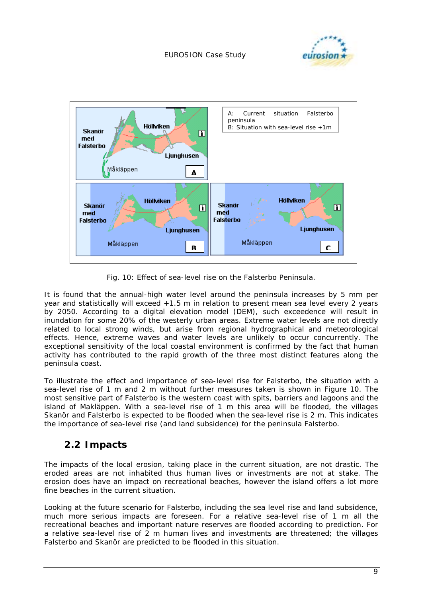



*Fig. 10: Effect of sea-level rise on the Falsterbo Peninsula.* 

It is found that the annual-high water level around the peninsula increases by 5 mm per year and statistically will exceed +1.5 m in relation to present mean sea level every 2 years by 2050. According to a digital elevation model (DEM), such exceedence will result in inundation for some 20% of the westerly urban areas. Extreme water levels are not directly related to local strong winds, but arise from regional hydrographical and meteorological effects. Hence, extreme waves and water levels are unlikely to occur concurrently. The exceptional sensitivity of the local coastal environment is confirmed by the fact that human activity has contributed to the rapid growth of the three most distinct features along the peninsula coast.

To illustrate the effect and importance of sea-level rise for Falsterbo, the situation with a sea-level rise of 1 m and 2 m without further measures taken is shown in Figure 10. The most sensitive part of Falsterbo is the western coast with spits, barriers and lagoons and the island of Makläppen. With a sea-level rise of 1 m this area will be flooded, the villages Skanör and Falsterbo is expected to be flooded when the sea-level rise is 2 m. This indicates the importance of sea-level rise (and land subsidence) for the peninsula Falsterbo.

## **2.2 Impacts**

The impacts of the local erosion, taking place in the current situation, are not drastic. The eroded areas are not inhabited thus human lives or investments are not at stake. The erosion does have an impact on recreational beaches, however the island offers a lot more fine beaches in the current situation.

Looking at the future scenario for Falsterbo, including the sea level rise and land subsidence, much more serious impacts are foreseen. For a relative sea-level rise of 1 m all the recreational beaches and important nature reserves are flooded according to prediction. For a relative sea-level rise of 2 m human lives and investments are threatened; the villages Falsterbo and Skanör are predicted to be flooded in this situation.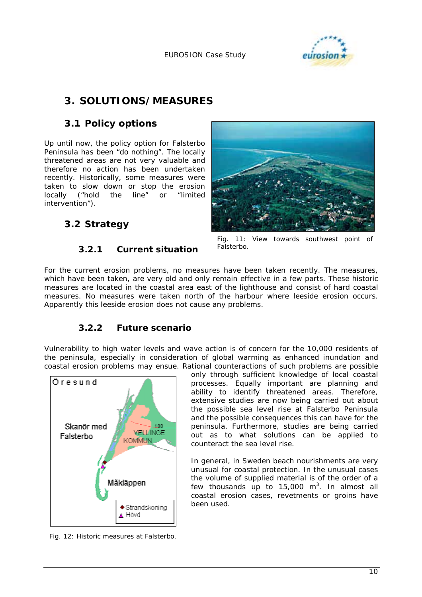

## **3. SOLUTIONS/MEASURES**

## **3.1 Policy options**

Up until now, the policy option for Falsterbo Peninsula has been "do nothing". The locally threatened areas are not very valuable and therefore no action has been undertaken recently. Historically, some measures were taken to slow down or stop the erosion locally ("hold the line" or "limited intervention").

## **3.2 Strategy**

### **3.2.1 Current situation**



*Fig. 11: View towards southwest point of Falsterbo.*

For the current erosion problems, no measures have been taken recently. The measures, which have been taken, are very old and only remain effective in a few parts. These historic measures are located in the coastal area east of the lighthouse and consist of hard coastal measures. No measures were taken north of the harbour where leeside erosion occurs. Apparently this leeside erosion does not cause any problems.

### **3.2.2 Future scenario**

Vulnerability to high water levels and wave action is of concern for the 10,000 residents of the peninsula, especially in consideration of global warming as enhanced inundation and coastal erosion problems may ensue. Rational counteractions of such problems are possible



only through sufficient knowledge of local coastal processes. Equally important are planning and ability to identify threatened areas. Therefore, extensive studies are now being carried out about the possible sea level rise at Falsterbo Peninsula and the possible consequences this can have for the peninsula. Furthermore, studies are being carried out as to what solutions can be applied to counteract the sea level rise.

In general, in Sweden beach nourishments are very unusual for coastal protection. In the unusual cases the volume of supplied material is of the order of a few thousands up to 15,000  $m^3$ . In almost all coastal erosion cases, revetments or groins have been used.

*Fig. 12: Historic measures at Falsterbo.*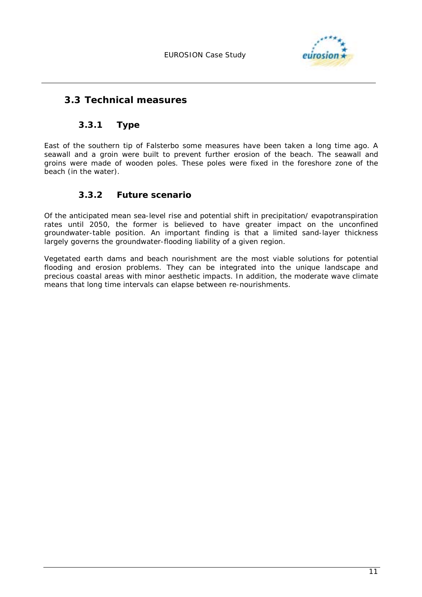

## **3.3 Technical measures**

### **3.3.1 Type**

East of the southern tip of Falsterbo some measures have been taken a long time ago. A seawall and a groin were built to prevent further erosion of the beach. The seawall and groins were made of wooden poles. These poles were fixed in the foreshore zone of the beach (in the water).

### *3.3.2* **Future scenario**

Of the anticipated mean sea-level rise and potential shift in precipitation/ evapotranspiration rates until 2050, the former is believed to have greater impact on the unconfined groundwater-table position. An important finding is that a limited sand-layer thickness largely governs the groundwater-flooding liability of a given region.

Vegetated earth dams and beach nourishment are the most viable solutions for potential flooding and erosion problems. They can be integrated into the unique landscape and precious coastal areas with minor aesthetic impacts. In addition, the moderate wave climate means that long time intervals can elapse between re-nourishments.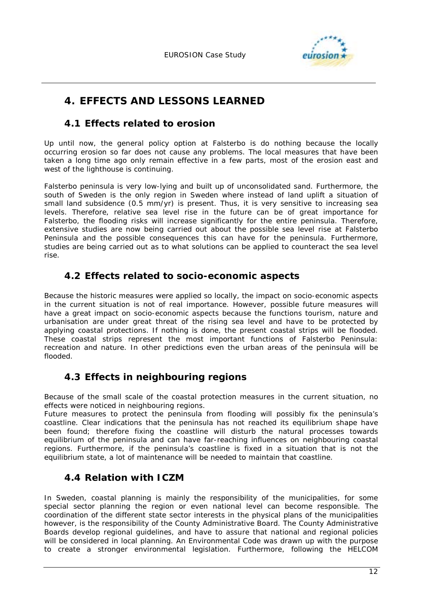

## **4. EFFECTS AND LESSONS LEARNED**

## **4.1 Effects related to erosion**

Up until now, the general policy option at Falsterbo is do nothing because the locally occurring erosion so far does not cause any problems. The local measures that have been taken a long time ago only remain effective in a few parts, most of the erosion east and west of the lighthouse is continuing.

Falsterbo peninsula is very low-lying and built up of unconsolidated sand. Furthermore, the south of Sweden is the only region in Sweden where instead of land uplift a situation of small land subsidence (0.5 mm/yr) is present. Thus, it is very sensitive to increasing sea levels. Therefore, relative sea level rise in the future can be of great importance for Falsterbo, the flooding risks will increase significantly for the entire peninsula. Therefore, extensive studies are now being carried out about the possible sea level rise at Falsterbo Peninsula and the possible consequences this can have for the peninsula. Furthermore, studies are being carried out as to what solutions can be applied to counteract the sea level rise.

## **4.2 Effects related to socio-economic aspects**

Because the historic measures were applied so locally, the impact on socio-economic aspects in the current situation is not of real importance. However, possible future measures will have a great impact on socio-economic aspects because the functions tourism, nature and urbanisation are under great threat of the rising sea level and have to be protected by applying coastal protections. If nothing is done, the present coastal strips will be flooded. These coastal strips represent the most important functions of Falsterbo Peninsula: recreation and nature. In other predictions even the urban areas of the peninsula will be flooded.

## **4.3 Effects in neighbouring regions**

Because of the small scale of the coastal protection measures in the current situation, no effects were noticed in neighbouring regions.

Future measures to protect the peninsula from flooding will possibly fix the peninsula's coastline. Clear indications that the peninsula has not reached its equilibrium shape have been found; therefore fixing the coastline will disturb the natural processes towards equilibrium of the peninsula and can have far-reaching influences on neighbouring coastal regions. Furthermore, if the peninsula's coastline is fixed in a situation that is not the equilibrium state, a lot of maintenance will be needed to maintain that coastline.

## **4.4 Relation with ICZM**

In Sweden, coastal planning is mainly the responsibility of the municipalities, for some special sector planning the region or even national level can become responsible. The coordination of the different state sector interests in the physical plans of the municipalities however, is the responsibility of the County Administrative Board. The County Administrative Boards develop regional guidelines, and have to assure that national and regional policies will be considered in local planning. An Environmental Code was drawn up with the purpose to create a stronger environmental legislation. Furthermore, following the HELCOM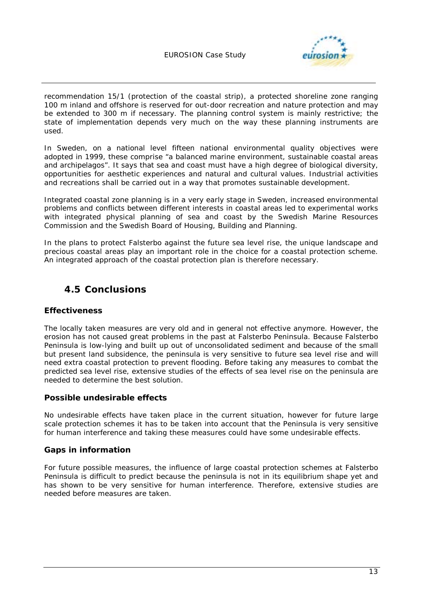

recommendation 15/1 (protection of the coastal strip), a protected shoreline zone ranging 100 m inland and offshore is reserved for out-door recreation and nature protection and may be extended to 300 m if necessary. The planning control system is mainly restrictive; the state of implementation depends very much on the way these planning instruments are used.

In Sweden, on a national level fifteen national environmental quality objectives were adopted in 1999, these comprise "a balanced marine environment, sustainable coastal areas and archipelagos". It says that sea and coast must have a high degree of biological diversity, opportunities for aesthetic experiences and natural and cultural values. Industrial activities and recreations shall be carried out in a way that promotes sustainable development.

Integrated coastal zone planning is in a very early stage in Sweden, increased environmental problems and conflicts between different interests in coastal areas led to experimental works with integrated physical planning of sea and coast by the Swedish Marine Resources Commission and the Swedish Board of Housing, Building and Planning.

In the plans to protect Falsterbo against the future sea level rise, the unique landscape and precious coastal areas play an important role in the choice for a coastal protection scheme. An integrated approach of the coastal protection plan is therefore necessary.

## **4.5 Conclusions**

### **Effectiveness**

The locally taken measures are very old and in general not effective anymore. However, the erosion has not caused great problems in the past at Falsterbo Peninsula. Because Falsterbo Peninsula is low-lying and built up out of unconsolidated sediment and because of the small but present land subsidence, the peninsula is very sensitive to future sea level rise and will need extra coastal protection to prevent flooding. Before taking any measures to combat the predicted sea level rise, extensive studies of the effects of sea level rise on the peninsula are needed to determine the best solution.

### **Possible undesirable effects**

No undesirable effects have taken place in the current situation, however for future large scale protection schemes it has to be taken into account that the Peninsula is very sensitive for human interference and taking these measures could have some undesirable effects.

### **Gaps in information**

For future possible measures, the influence of large coastal protection schemes at Falsterbo Peninsula is difficult to predict because the peninsula is not in its equilibrium shape yet and has shown to be very sensitive for human interference. Therefore, extensive studies are needed before measures are taken.